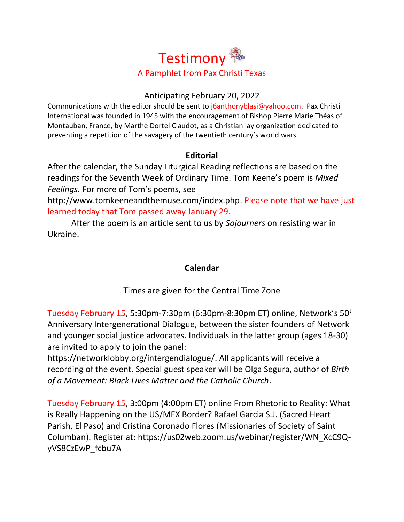

### Anticipating February 20, 2022

Communications with the editor should be sent to [j6anthonyblasi@yahoo.com.](mailto:j6anthonyblasi@yahoo.com) Pax Christi International was founded in 1945 with the encouragement of Bishop Pierre Marie Théas of Montauban, France, by Marthe Dortel Claudot, as a Christian lay organization dedicated to preventing a repetition of the savagery of the twentieth century's world wars.

## **Editorial**

After the calendar, the Sunday Liturgical Reading reflections are based on the readings for the Seventh Week of Ordinary Time. Tom Keene's poem is *Mixed Feelings.* For more of Tom's poems, see

[http://www.tomkeeneandthemuse.com/index.php.](http://www.tomkeeneandthemuse.com/index.php) Please note that we have just learned today that Tom passed away January 29.

After the poem is an article sent to us by *Sojourners* on resisting war in Ukraine.

## **Calendar**

Times are given for the Central Time Zone

Tuesday February 15, 5:30pm-7:30pm (6:30pm-8:30pm ET) online, Network's 50th Anniversary Intergenerational Dialogue, between the sister founders of Network and younger social justice advocates. Individuals in the latter group (ages 18-30) are invited to apply to join the panel:

[https://networklobby.org/intergendialogue/.](https://networklobby.org/intergendialogue/) All applicants will receive a recording of the event. Special guest speaker will be Olga Segura, author of *Birth of a Movement: Black Lives Matter and the Catholic Church*.

Tuesday February 15, 3:00pm (4:00pm ET) online From Rhetoric to Reality: What is Really Happening on the US/MEX Border? Rafael Garcia S.J. (Sacred Heart Parish, El Paso) and Cristina Coronado Flores (Missionaries of Society of Saint Columban). Register at: [https://us02web.zoom.us/webinar/register/WN\\_XcC9Q](https://us02web.zoom.us/webinar/register/WN_XcC9Q-yVS8CzEwP_fcbu7A)[yVS8CzEwP\\_fcbu7A](https://us02web.zoom.us/webinar/register/WN_XcC9Q-yVS8CzEwP_fcbu7A)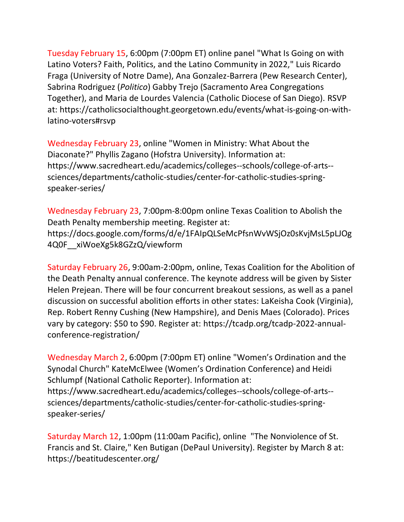Tuesday February 15, 6:00pm (7:00pm ET) online panel "What Is Going on with Latino Voters? Faith, Politics, and the Latino Community in 2022," Luis Ricardo Fraga (University of Notre Dame), Ana Gonzalez-Barrera (Pew Research Center), Sabrina Rodriguez (*Politico*) Gabby Trejo (Sacramento Area Congregations Together), and Maria de Lourdes Valencia (Catholic Diocese of San Diego). RSVP at: [https://catholicsocialthought.georgetown.edu/events/what-is-going-on-with](https://catholicsocialthought.georgetown.edu/events/what-is-going-on-with-latino-voters#rsvp)[latino-voters#rsvp](https://catholicsocialthought.georgetown.edu/events/what-is-going-on-with-latino-voters#rsvp)

Wednesday February 23, online "Women in Ministry: What About the Diaconate?" Phyllis Zagano (Hofstra University). Information at: [https://www.sacredheart.edu/academics/colleges--schools/college-of-arts-](https://www.sacredheart.edu/academics/colleges--schools/college-of-arts--sciences/departments/catholic-studies/center-for-catholic-studies-spring-speaker-series/) [sciences/departments/catholic-studies/center-for-catholic-studies-spring](https://www.sacredheart.edu/academics/colleges--schools/college-of-arts--sciences/departments/catholic-studies/center-for-catholic-studies-spring-speaker-series/)[speaker-series/](https://www.sacredheart.edu/academics/colleges--schools/college-of-arts--sciences/departments/catholic-studies/center-for-catholic-studies-spring-speaker-series/)

Wednesday February 23, 7:00pm-8:00pm online Texas Coalition to Abolish the Death Penalty membership meeting. Register at: [https://docs.google.com/forms/d/e/1FAIpQLSeMcPfsnWvWSjOz0sKvjMsL5pLJOg](https://docs.google.com/forms/d/e/1FAIpQLSeMcPfsnWvWSjOz0sKvjMsL5pLJOg4Q0F__xiWoeXg5k8GZzQ/viewform) [4Q0F\\_\\_xiWoeXg5k8GZzQ/viewform](https://docs.google.com/forms/d/e/1FAIpQLSeMcPfsnWvWSjOz0sKvjMsL5pLJOg4Q0F__xiWoeXg5k8GZzQ/viewform)

Saturday February 26, 9:00am-2:00pm, online, Texas Coalition for the Abolition of the Death Penalty annual conference. The keynote address will be given by Sister Helen Prejean. There will be four concurrent breakout sessions, as well as a panel discussion on successful abolition efforts in other states: LaKeisha Cook (Virginia), Rep. Robert Renny Cushing (New Hampshire), and Denis Maes (Colorado). Prices vary by category: \$50 to \$90. Register at: [https://tcadp.org/tcadp-2022-annual](https://tcadp.org/tcadp-2022-annual-conference-registration/)[conference-registration/](https://tcadp.org/tcadp-2022-annual-conference-registration/)

Wednesday March 2, 6:00pm (7:00pm ET) online "Women's Ordination and the Synodal Church" KateMcElwee (Women's Ordination Conference) and Heidi Schlumpf (National Catholic Reporter). Information at: [https://www.sacredheart.edu/academics/colleges--schools/college-of-arts-](https://www.sacredheart.edu/academics/colleges--schools/college-of-arts--sciences/departments/catholic-studies/center-for-catholic-studies-spring-speaker-series/) [sciences/departments/catholic-studies/center-for-catholic-studies-spring](https://www.sacredheart.edu/academics/colleges--schools/college-of-arts--sciences/departments/catholic-studies/center-for-catholic-studies-spring-speaker-series/)[speaker-series/](https://www.sacredheart.edu/academics/colleges--schools/college-of-arts--sciences/departments/catholic-studies/center-for-catholic-studies-spring-speaker-series/)

Saturday March 12, 1:00pm (11:00am Pacific), online "The Nonviolence of St. Francis and St. Claire," Ken Butigan (DePaul University). Register by March 8 at: <https://beatitudescenter.org/>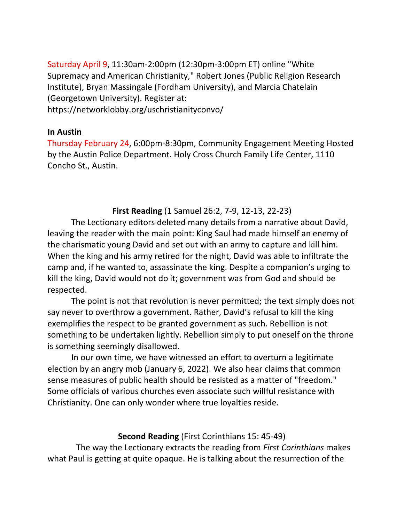Saturday April 9, 11:30am-2:00pm (12:30pm-3:00pm ET) online "White Supremacy and American Christianity," Robert Jones (Public Religion Research Institute), Bryan Massingale (Fordham University), and Marcia Chatelain (Georgetown University). Register at: <https://networklobby.org/uschristianityconvo/>

### **In Austin**

Thursday February 24, 6:00pm-8:30pm, Community Engagement Meeting Hosted by the Austin Police Department. Holy Cross Church Family Life Center, 1110 Concho St., Austin.

# **First Reading** (1 Samuel 26:2, 7-9, 12-13, 22-23)

The Lectionary editors deleted many details from a narrative about David, leaving the reader with the main point: King Saul had made himself an enemy of the charismatic young David and set out with an army to capture and kill him. When the king and his army retired for the night, David was able to infiltrate the camp and, if he wanted to, assassinate the king. Despite a companion's urging to kill the king, David would not do it; government was from God and should be respected.

The point is not that revolution is never permitted; the text simply does not say never to overthrow a government. Rather, David's refusal to kill the king exemplifies the respect to be granted government as such. Rebellion is not something to be undertaken lightly. Rebellion simply to put oneself on the throne is something seemingly disallowed.

In our own time, we have witnessed an effort to overturn a legitimate election by an angry mob (January 6, 2022). We also hear claims that common sense measures of public health should be resisted as a matter of "freedom." Some officials of various churches even associate such willful resistance with Christianity. One can only wonder where true loyalties reside.

## **Second Reading** (First Corinthians 15: 45-49)

The way the Lectionary extracts the reading from *First Corinthians* makes what Paul is getting at quite opaque. He is talking about the resurrection of the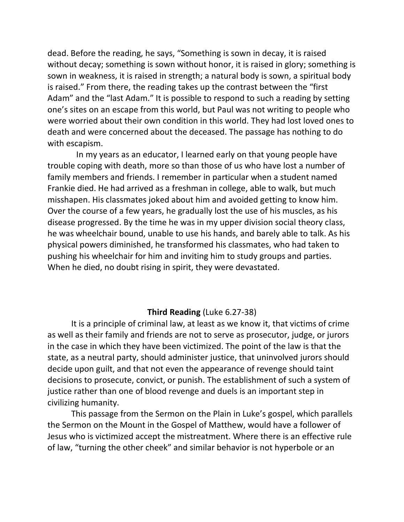dead. Before the reading, he says, "Something is sown in decay, it is raised without decay; something is sown without honor, it is raised in glory; something is sown in weakness, it is raised in strength; a natural body is sown, a spiritual body is raised." From there, the reading takes up the contrast between the "first Adam" and the "last Adam." It is possible to respond to such a reading by setting one's sites on an escape from this world, but Paul was not writing to people who were worried about their own condition in this world. They had lost loved ones to death and were concerned about the deceased. The passage has nothing to do with escapism.

In my years as an educator, I learned early on that young people have trouble coping with death, more so than those of us who have lost a number of family members and friends. I remember in particular when a student named Frankie died. He had arrived as a freshman in college, able to walk, but much misshapen. His classmates joked about him and avoided getting to know him. Over the course of a few years, he gradually lost the use of his muscles, as his disease progressed. By the time he was in my upper division social theory class, he was wheelchair bound, unable to use his hands, and barely able to talk. As his physical powers diminished, he transformed his classmates, who had taken to pushing his wheelchair for him and inviting him to study groups and parties. When he died, no doubt rising in spirit, they were devastated.

### **Third Reading** (Luke 6.27-38)

It is a principle of criminal law, at least as we know it, that victims of crime as well as their family and friends are not to serve as prosecutor, judge, or jurors in the case in which they have been victimized. The point of the law is that the state, as a neutral party, should administer justice, that uninvolved jurors should decide upon guilt, and that not even the appearance of revenge should taint decisions to prosecute, convict, or punish. The establishment of such a system of justice rather than one of blood revenge and duels is an important step in civilizing humanity.

This passage from the Sermon on the Plain in Luke's gospel, which parallels the Sermon on the Mount in the Gospel of Matthew, would have a follower of Jesus who is victimized accept the mistreatment. Where there is an effective rule of law, "turning the other cheek" and similar behavior is not hyperbole or an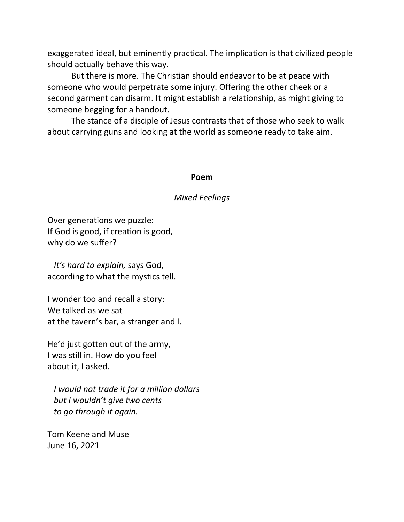exaggerated ideal, but eminently practical. The implication is that civilized people should actually behave this way.

But there is more. The Christian should endeavor to be at peace with someone who would perpetrate some injury. Offering the other cheek or a second garment can disarm. It might establish a relationship, as might giving to someone begging for a handout.

The stance of a disciple of Jesus contrasts that of those who seek to walk about carrying guns and looking at the world as someone ready to take aim.

#### **Poem**

### *Mixed Feelings*

Over generations we puzzle: If God is good, if creation is good, why do we suffer?

 *It's hard to explain,* says God, according to what the mystics tell.

I wonder too and recall a story: We talked as we sat at the tavern's bar, a stranger and I.

He'd just gotten out of the army, I was still in. How do you feel about it, I asked.

 *I would not trade it for a million dollars but I wouldn't give two cents to go through it again.*

Tom Keene and Muse June 16, 2021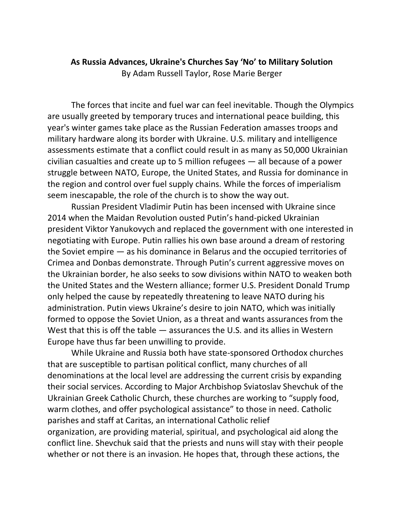# **As Russia Advances, Ukraine's Churches Say 'No' to Military Solution** By [Adam Russell Taylor,](https://sojo.net/biography/adam-russell-taylor) [Rose Marie Berger](https://sojo.net/biography/rose-marie-berger)

The forces that incite and fuel war can feel inevitable. Though the Olympics are usually [greeted](https://olympics.com/ioc/news/un-general-assembly-adopts-olympic-truce-for-beijing-2022) by temporary truces and international peace building, this year's winter games take place as the Russian Federation [amasses](http://www.cbsnews.com/pictures/russias-massive-military-buildup-photos/) troops and military hardware along its border with Ukraine. U.S. military and intelligence assessments [estimate](https://www.washingtonpost.com/world/2022/02/05/ukraine-russia-nato-putin-germany/) that a conflict could result in as many as 50,000 Ukrainian civilian casualties and create up to 5 million refugees — all because of a power struggle between NATO, Europe, the United States, and Russia for dominance in the region and control over fuel supply chains. While the forces of imperialism seem inescapable, the role of the church is to show the way out.

Russian President Vladimir Putin has been incensed with Ukraine since 2014 when the Maidan Revolution ousted Putin's hand-picked Ukrainian president Viktor Yanukovych and replaced the government with one interested in negotiating with Europe. Putin rallies his own base around a dream of restoring the Soviet empire — as his dominance in Belarus and the occupied territories of Crimea and Donbas demonstrate. Through Putin's current aggressive moves on the Ukrainian border, he also seeks to sow divisions within NATO to weaken both the United States and the Western alliance; former U.S. President Donald Trump only helped the cause by repeatedly [threatening](https://www.nytimes.com/2019/01/14/us/politics/nato-president-trump.html) to leave NATO during his administration. Putin views Ukraine's desire to join NATO, which was initially formed to oppose the Soviet Union, as a threat and wants assurances from the West that this is off the table — assurances the U.S. and its allies in Western Europe have thus far been unwilling to provide.

While Ukraine and Russia both have state-sponsored Orthodox churches that are susceptible to partisan political conflict, many churches of all denominations at the local level are addressing the current crisis by expanding their social services. According to [Major Archbishop Sviatoslav Shevchuk](https://www.vaticannews.va/en/church/news/2022-02/ukraine-russia-peace-conflict-online-conference-church.html) of the Ukrainian Greek Catholic Church, these churches are working to "supply food, warm clothes, and offer psychological assistance" to those in need. Catholic parishes and staff at Caritas, an international Catholic relief organization, are providing material, spiritual, and psychological aid along the conflict line. Shevchuk said that the priests and nuns will stay with their people whether or not there is an invasion. He [hopes](https://cruxnow.com/church-in-europe/2022/02/catholic-chief-calls-ukraine-a-pawn-in-escalating-us-russia-conflict) that, through these actions, the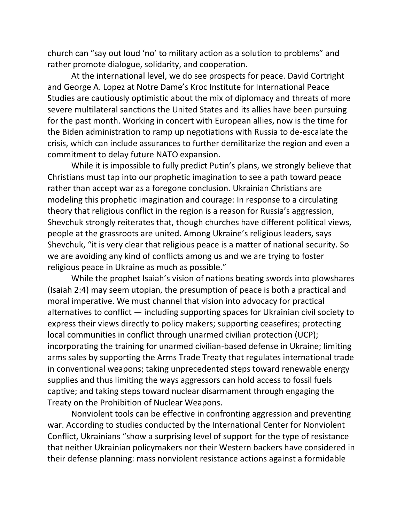church can "say out loud 'no' to military action as a solution to problems" and rather promote dialogue, solidarity, and cooperation.

At the international level, we do see prospects for peace. David Cortright and George A. Lopez at Notre Dame's Kroc Institute for International Peace Studies are cautiously optimistic about the [mix of diplomacy and](https://thebulletin.org/2022/02/how-to-mix-sanctions-and-diplomacy-to-avert-disaster-in-ukraine/) threats of more [severe multilateral sanctions](https://thebulletin.org/2022/02/how-to-mix-sanctions-and-diplomacy-to-avert-disaster-in-ukraine/) the United States and its allies have been pursuing for the past month. Working in concert with European allies, now is the time for the Biden administration to ramp up negotiations with Russia to de-escalate the crisis, which can include assurances to further demilitarize the region and even a commitment to delay future NATO expansion.

While it is impossible to fully predict Putin's plans, we strongly believe that Christians must tap into our prophetic imagination to see a path toward peace rather than accept war as a foregone conclusion. Ukrainian Christians are modeling this prophetic imagination and courage: In response to a circulating theory that religious conflict in the region is a reason for Russia's aggression, Shevchuk strongly reiterates that, though churches have different political views, people at the grassroots are united. Among Ukraine's religious leaders, [says](https://www.romereports.com/en/2022/02/04/leader-of-ukrainian-greek-catholic-church-our-priests-and-nuns-will-stay-with-our-people/)  [Shevchuk](https://www.romereports.com/en/2022/02/04/leader-of-ukrainian-greek-catholic-church-our-priests-and-nuns-will-stay-with-our-people/), "it is very clear that religious peace is a matter of national security. So we are avoiding any kind of conflicts among us and we are trying to foster religious peace in Ukraine as much as possible."

While the prophet Isaiah's vision of nations beating swords into plowshares (Isaiah 2:4) may seem utopian, the presumption of peace is both a practical and moral imperative. We must channel that vision into advocacy for [practical](https://sojo.net/articles/we-have-nonviolent-tools-end-conflict-we-just-dont-use-them)  [alternatives](https://sojo.net/articles/we-have-nonviolent-tools-end-conflict-we-just-dont-use-them) to conflict — including supporting spaces for Ukrainian civil society to express their views directly to policy makers; supporting ceasefires; protecting local communities in conflict through unarmed civilian protection (UCP); incorporating the training for unarmed civilian-based defense in Ukraine; limiting arms sales by supporting the Arms Trade Treaty that regulates international trade in conventional weapons; taking unprecedented steps toward renewable energy supplies and thus limiting the ways aggressors can hold access to fossil fuels captive; and taking steps toward nuclear disarmament through engaging the Treaty on the Prohibition of Nuclear Weapons.

[Nonviolent tools](https://paxchristi.net/wp-content/uploads/2021/10/PCI-brochure-POLICYMAKERS-TOOL-NONVIOLENCE-21.pdf) can be effective in confronting aggression and preventing war. According to [studies](http://www.nonviolent-conflict.org/blog_post/ukrainians-vs-putin-potential-for-nonviolent-civilian-based-defense/?fbclid=IwAR3TMYXPKR9jN0Stwu2D5YqaLlUqiBDeYu3x9ju_jBn7Ls2QbPzyQuBI6AI) conducted by the International Center for Nonviolent Conflict, Ukrainians "show a surprising level of support for the type of resistance that neither Ukrainian policymakers nor their Western backers have considered in their defense planning: mass nonviolent resistance actions against a formidable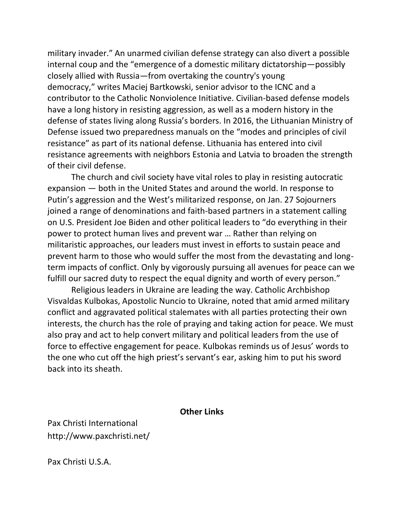military invader." An unarmed civilian defense strategy can also divert a possible internal coup and the "emergence of a domestic military dictatorship—possibly closely allied with Russia—from overtaking the country's young democracy," writes Maciej Bartkowski, senior advisor to the ICNC and a contributor to the Catholic Nonviolence Initiative. Civilian-based defense models have a long history in resisting aggression, as well as a modern history in the defense of states living along Russia's borders. In 2016, the Lithuanian Ministry of Defense issued two [preparedness manuals](http://kam.lt/lt/katurimezinoti.html) on the "modes and principles of civil resistance" as part of its national defense. Lithuania has entered into civil resistance agreements with neighbors Estonia and Latvia to broaden the strength of their civil defense.

The church and civil society have vital roles to play in resisting autocratic expansion — both in the United States and around the world. In response to Putin's aggression and the West's militarized response, on Jan. 27 Sojourners joined a range of denominations and faith-based partners in a [statement](https://www.fcnl.org/updates/2022-01/faith-groups-urge-leaders-deescalate-tension-pursue-peace-ukraine) calling on U.S. President Joe Biden and other political leaders to "do everything in their power to protect human lives and prevent war … Rather than relying on militaristic approaches, our leaders must invest in efforts to sustain peace and prevent harm to those who would suffer the most from the devastating and longterm impacts of conflict. Only by vigorously pursuing all avenues for peace can we fulfill our sacred duty to respect the equal dignity and worth of every person."

Religious leaders in Ukraine are leading the way. Catholic Archbishop Visvaldas Kulbokas, Apostolic Nuncio to Ukraine, noted that amid armed military conflict and aggravated political stalemates with all parties protecting their own interests, the church has the role of praying and taking action for peace. We must also pray and act to help convert military and political leaders from the use of force to effective engagement for peace. Kulbokas reminds us of Jesus' words to the one who cut off the high priest's servant's ear, asking him to put his sword back into its sheath.

#### **Other Links**

Pax Christi International <http://www.paxchristi.net/>

Pax Christi U.S.A.